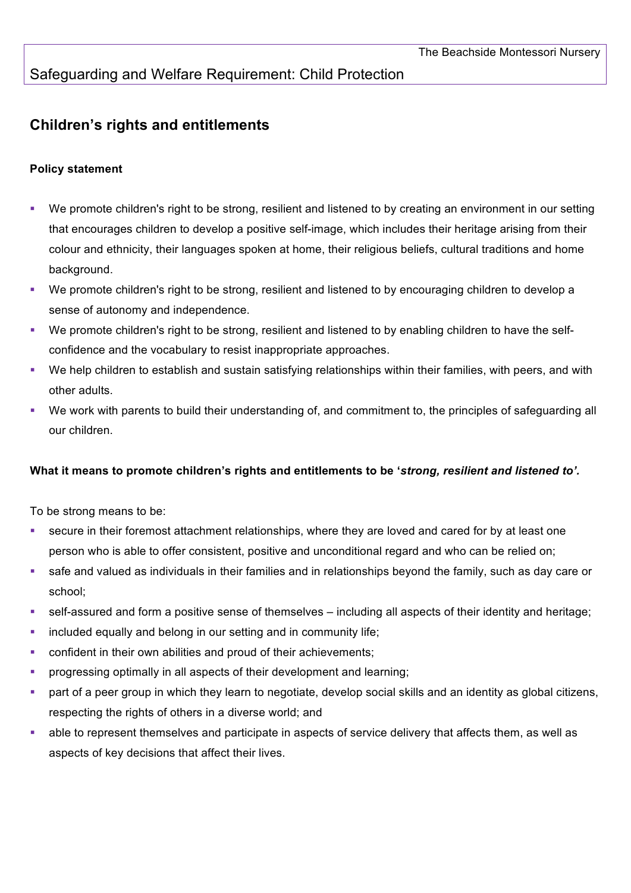## Safeguarding and Welfare Requirement: Child Protection

## **Children's rights and entitlements**

## **Policy statement**

- § We promote children's right to be strong, resilient and listened to by creating an environment in our setting that encourages children to develop a positive self-image, which includes their heritage arising from their colour and ethnicity, their languages spoken at home, their religious beliefs, cultural traditions and home background.
- We promote children's right to be strong, resilient and listened to by encouraging children to develop a sense of autonomy and independence.
- § We promote children's right to be strong, resilient and listened to by enabling children to have the selfconfidence and the vocabulary to resist inappropriate approaches.
- § We help children to establish and sustain satisfying relationships within their families, with peers, and with other adults.
- § We work with parents to build their understanding of, and commitment to, the principles of safeguarding all our children.

## **What it means to promote children's rights and entitlements to be '***strong, resilient and listened to'.*

To be strong means to be:

- secure in their foremost attachment relationships, where they are loved and cared for by at least one person who is able to offer consistent, positive and unconditional regard and who can be relied on;
- § safe and valued as individuals in their families and in relationships beyond the family, such as day care or school;
- self-assured and form a positive sense of themselves including all aspects of their identity and heritage;
- **•** included equally and belong in our setting and in community life;
- confident in their own abilities and proud of their achievements;
- **•** progressing optimally in all aspects of their development and learning;
- part of a peer group in which they learn to negotiate, develop social skills and an identity as global citizens, respecting the rights of others in a diverse world; and
- able to represent themselves and participate in aspects of service delivery that affects them, as well as aspects of key decisions that affect their lives.